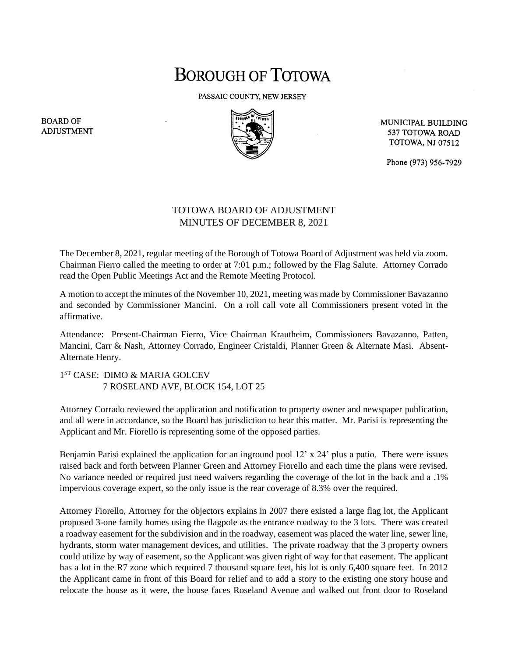## **BOROUGH OF TOTOWA**

PASSAIC COUNTY, NEW JERSEY



MUNICIPAL BUILDING 537 TOTOWA ROAD **TOTOWA, NJ 07512** 

Phone (973) 956-7929

## TOTOWA BOARD OF ADJUSTMENT MINUTES OF DECEMBER 8, 2021

The December 8, 2021, regular meeting of the Borough of Totowa Board of Adjustment was held via zoom. Chairman Fierro called the meeting to order at 7:01 p.m.; followed by the Flag Salute. Attorney Corrado read the Open Public Meetings Act and the Remote Meeting Protocol.

A motion to accept the minutes of the November 10, 2021, meeting was made by Commissioner Bavazanno and seconded by Commissioner Mancini. On a roll call vote all Commissioners present voted in the affirmative.

Attendance: Present-Chairman Fierro, Vice Chairman Krautheim, Commissioners Bavazanno, Patten, Mancini, Carr & Nash, Attorney Corrado, Engineer Cristaldi, Planner Green & Alternate Masi. Absent-Alternate Henry.

1 ST CASE: DIMO & MARJA GOLCEV 7 ROSELAND AVE, BLOCK 154, LOT 25

Attorney Corrado reviewed the application and notification to property owner and newspaper publication, and all were in accordance, so the Board has jurisdiction to hear this matter. Mr. Parisi is representing the Applicant and Mr. Fiorello is representing some of the opposed parties.

Benjamin Parisi explained the application for an inground pool 12' x 24' plus a patio. There were issues raised back and forth between Planner Green and Attorney Fiorello and each time the plans were revised. No variance needed or required just need waivers regarding the coverage of the lot in the back and a .1% impervious coverage expert, so the only issue is the rear coverage of 8.3% over the required.

Attorney Fiorello, Attorney for the objectors explains in 2007 there existed a large flag lot, the Applicant proposed 3-one family homes using the flagpole as the entrance roadway to the 3 lots. There was created a roadway easement for the subdivision and in the roadway, easement was placed the water line, sewer line, hydrants, storm water management devices, and utilities. The private roadway that the 3 property owners could utilize by way of easement, so the Applicant was given right of way for that easement. The applicant has a lot in the R7 zone which required 7 thousand square feet, his lot is only 6,400 square feet. In 2012 the Applicant came in front of this Board for relief and to add a story to the existing one story house and relocate the house as it were, the house faces Roseland Avenue and walked out front door to Roseland

**BOARD OF ADJUSTMENT**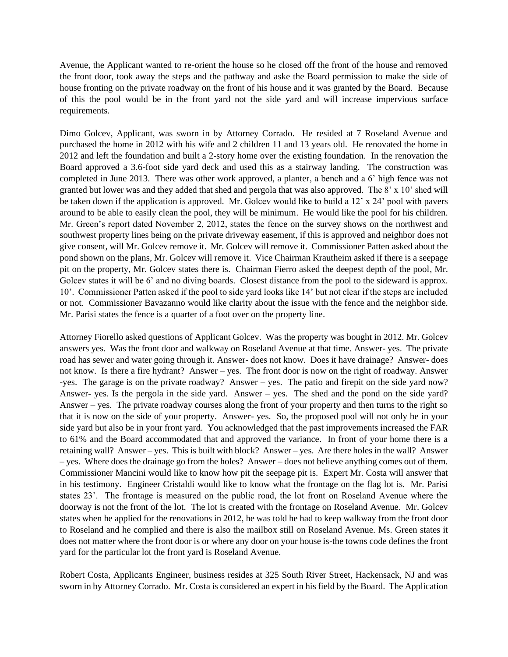Avenue, the Applicant wanted to re-orient the house so he closed off the front of the house and removed the front door, took away the steps and the pathway and aske the Board permission to make the side of house fronting on the private roadway on the front of his house and it was granted by the Board. Because of this the pool would be in the front yard not the side yard and will increase impervious surface requirements.

Dimo Golcev, Applicant, was sworn in by Attorney Corrado. He resided at 7 Roseland Avenue and purchased the home in 2012 with his wife and 2 children 11 and 13 years old. He renovated the home in 2012 and left the foundation and built a 2-story home over the existing foundation. In the renovation the Board approved a 3.6-foot side yard deck and used this as a stairway landing. The construction was completed in June 2013. There was other work approved, a planter, a bench and a 6' high fence was not granted but lower was and they added that shed and pergola that was also approved. The 8' x 10' shed will be taken down if the application is approved. Mr. Golcev would like to build a 12' x 24' pool with pavers around to be able to easily clean the pool, they will be minimum. He would like the pool for his children. Mr. Green's report dated November 2, 2012, states the fence on the survey shows on the northwest and southwest property lines being on the private driveway easement, if this is approved and neighbor does not give consent, will Mr. Golcev remove it. Mr. Golcev will remove it. Commissioner Patten asked about the pond shown on the plans, Mr. Golcev will remove it. Vice Chairman Krautheim asked if there is a seepage pit on the property, Mr. Golcev states there is. Chairman Fierro asked the deepest depth of the pool, Mr. Golcev states it will be 6' and no diving boards. Closest distance from the pool to the sideward is approx. 10'. Commissioner Patten asked if the pool to side yard looks like 14' but not clear if the steps are included or not. Commissioner Bavazanno would like clarity about the issue with the fence and the neighbor side. Mr. Parisi states the fence is a quarter of a foot over on the property line.

Attorney Fiorello asked questions of Applicant Golcev. Was the property was bought in 2012. Mr. Golcev answers yes. Was the front door and walkway on Roseland Avenue at that time. Answer- yes. The private road has sewer and water going through it. Answer- does not know. Does it have drainage? Answer- does not know. Is there a fire hydrant? Answer – yes. The front door is now on the right of roadway. Answer -yes. The garage is on the private roadway? Answer – yes. The patio and firepit on the side yard now? Answer- yes. Is the pergola in the side yard. Answer – yes. The shed and the pond on the side yard? Answer – yes. The private roadway courses along the front of your property and then turns to the right so that it is now on the side of your property. Answer- yes. So, the proposed pool will not only be in your side yard but also be in your front yard. You acknowledged that the past improvements increased the FAR to 61% and the Board accommodated that and approved the variance. In front of your home there is a retaining wall? Answer – yes. This is built with block? Answer – yes. Are there holes in the wall? Answer – yes. Where does the drainage go from the holes? Answer – does not believe anything comes out of them. Commissioner Mancini would like to know how pit the seepage pit is. Expert Mr. Costa will answer that in his testimony. Engineer Cristaldi would like to know what the frontage on the flag lot is. Mr. Parisi states 23'. The frontage is measured on the public road, the lot front on Roseland Avenue where the doorway is not the front of the lot. The lot is created with the frontage on Roseland Avenue. Mr. Golcev states when he applied for the renovations in 2012, he was told he had to keep walkway from the front door to Roseland and he complied and there is also the mailbox still on Roseland Avenue. Ms. Green states it does not matter where the front door is or where any door on your house is-the towns code defines the front yard for the particular lot the front yard is Roseland Avenue.

Robert Costa, Applicants Engineer, business resides at 325 South River Street, Hackensack, NJ and was sworn in by Attorney Corrado. Mr. Costa is considered an expert in his field by the Board. The Application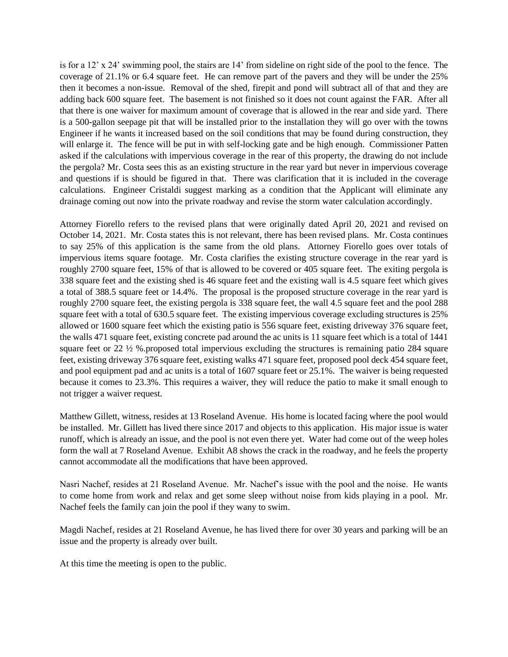is for a 12' x 24' swimming pool, the stairs are 14' from sideline on right side of the pool to the fence. The coverage of 21.1% or 6.4 square feet. He can remove part of the pavers and they will be under the 25% then it becomes a non-issue. Removal of the shed, firepit and pond will subtract all of that and they are adding back 600 square feet. The basement is not finished so it does not count against the FAR. After all that there is one waiver for maximum amount of coverage that is allowed in the rear and side yard. There is a 500-gallon seepage pit that will be installed prior to the installation they will go over with the towns Engineer if he wants it increased based on the soil conditions that may be found during construction, they will enlarge it. The fence will be put in with self-locking gate and be high enough. Commissioner Patten asked if the calculations with impervious coverage in the rear of this property, the drawing do not include the pergola? Mr. Costa sees this as an existing structure in the rear yard but never in impervious coverage and questions if is should be figured in that. There was clarification that it is included in the coverage calculations. Engineer Cristaldi suggest marking as a condition that the Applicant will eliminate any drainage coming out now into the private roadway and revise the storm water calculation accordingly.

Attorney Fiorello refers to the revised plans that were originally dated April 20, 2021 and revised on October 14, 2021. Mr. Costa states this is not relevant, there has been revised plans. Mr. Costa continues to say 25% of this application is the same from the old plans. Attorney Fiorello goes over totals of impervious items square footage. Mr. Costa clarifies the existing structure coverage in the rear yard is roughly 2700 square feet, 15% of that is allowed to be covered or 405 square feet. The exiting pergola is 338 square feet and the existing shed is 46 square feet and the existing wall is 4.5 square feet which gives a total of 388.5 square feet or 14.4%. The proposal is the proposed structure coverage in the rear yard is roughly 2700 square feet, the existing pergola is 338 square feet, the wall 4.5 square feet and the pool 288 square feet with a total of 630.5 square feet. The existing impervious coverage excluding structures is 25% allowed or 1600 square feet which the existing patio is 556 square feet, existing driveway 376 square feet, the walls 471 square feet, existing concrete pad around the ac units is 11 square feet which is a total of 1441 square feet or 22 ½ %.proposed total impervious excluding the structures is remaining patio 284 square feet, existing driveway 376 square feet, existing walks 471 square feet, proposed pool deck 454 square feet, and pool equipment pad and ac units is a total of 1607 square feet or 25.1%. The waiver is being requested because it comes to 23.3%. This requires a waiver, they will reduce the patio to make it small enough to not trigger a waiver request.

Matthew Gillett, witness, resides at 13 Roseland Avenue. His home is located facing where the pool would be installed. Mr. Gillett has lived there since 2017 and objects to this application. His major issue is water runoff, which is already an issue, and the pool is not even there yet. Water had come out of the weep holes form the wall at 7 Roseland Avenue. Exhibit A8 shows the crack in the roadway, and he feels the property cannot accommodate all the modifications that have been approved.

Nasri Nachef, resides at 21 Roseland Avenue. Mr. Nachef's issue with the pool and the noise. He wants to come home from work and relax and get some sleep without noise from kids playing in a pool. Mr. Nachef feels the family can join the pool if they wany to swim.

Magdi Nachef, resides at 21 Roseland Avenue, he has lived there for over 30 years and parking will be an issue and the property is already over built.

At this time the meeting is open to the public.